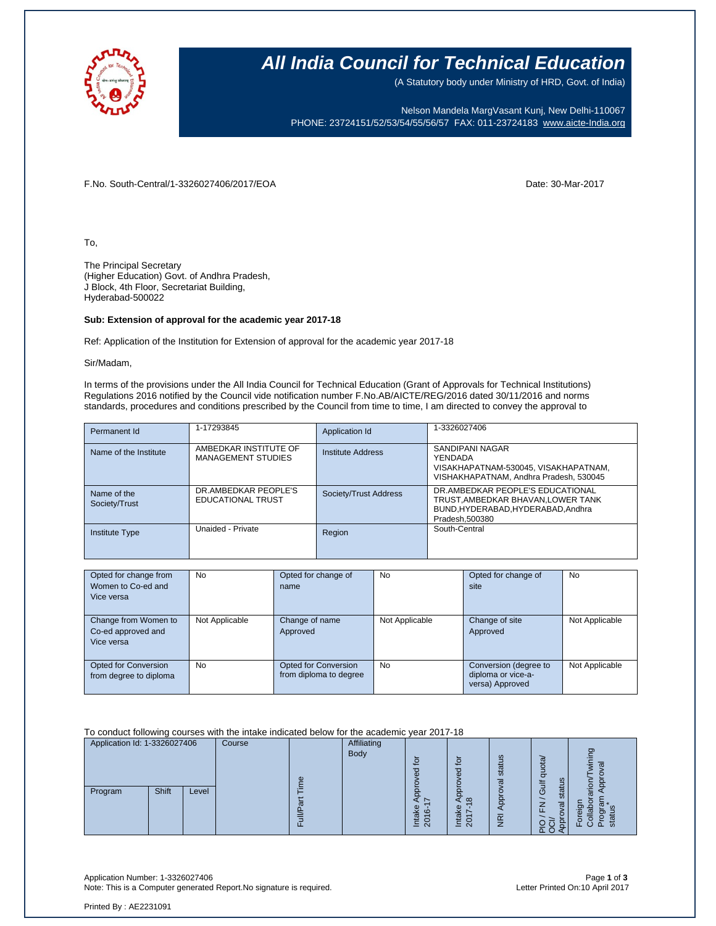

### **All India Council for Technical Education**

(A Statutory body under Ministry of HRD, Govt. of India)

Nelson Mandela MargVasant Kunj, New Delhi-110067 PHONE: 23724151/52/53/54/55/56/57 FAX: 011-23724183 [www.aicte-India.org](http://www.aicte-india.org/)

F.No. South-Central/1-3326027406/2017/EOA Date: 30-Mar-2017

To,

The Principal Secretary (Higher Education) Govt. of Andhra Pradesh, J Block, 4th Floor, Secretariat Building, Hyderabad-500022

#### **Sub: Extension of approval for the academic year 2017-18**

Ref: Application of the Institution for Extension of approval for the academic year 2017-18

Sir/Madam,

In terms of the provisions under the All India Council for Technical Education (Grant of Approvals for Technical Institutions) Regulations 2016 notified by the Council vide notification number F.No.AB/AICTE/REG/2016 dated 30/11/2016 and norms standards, procedures and conditions prescribed by the Council from time to time, I am directed to convey the approval to

| Permanent Id                 | 1-17293845                                         | Application Id           | 1-3326027406                                                                                                                   |
|------------------------------|----------------------------------------------------|--------------------------|--------------------------------------------------------------------------------------------------------------------------------|
| Name of the Institute        | AMBEDKAR INSTITUTE OF<br><b>MANAGEMENT STUDIES</b> | <b>Institute Address</b> | SANDIPANI NAGAR<br>YENDADA<br>VISAKHAPATNAM-530045, VISAKHAPATNAM,<br>VISHAKHAPATNAM, Andhra Pradesh, 530045                   |
| Name of the<br>Society/Trust | DR.AMBEDKAR PEOPLE'S<br><b>EDUCATIONAL TRUST</b>   | Society/Trust Address    | DR.AMBEDKAR PEOPLE'S EDUCATIONAL<br>TRUST, AMBEDKAR BHAVAN, LOWER TANK<br>BUND, HYDERABAD, HYDERABAD, Andhra<br>Pradesh.500380 |
| Institute Type               | Unaided - Private                                  | Region                   | South-Central                                                                                                                  |

| Opted for change from<br>Women to Co-ed and<br>Vice versa | <b>No</b>      | Opted for change of<br>name                    | No             | Opted for change of<br>site                                    | No             |
|-----------------------------------------------------------|----------------|------------------------------------------------|----------------|----------------------------------------------------------------|----------------|
| Change from Women to<br>Co-ed approved and<br>Vice versa  | Not Applicable | Change of name<br>Approved                     | Not Applicable | Change of site<br>Approved                                     | Not Applicable |
| <b>Opted for Conversion</b><br>from degree to diploma     | <b>No</b>      | Opted for Conversion<br>from diploma to degree | <b>No</b>      | Conversion (degree to<br>diploma or vice-a-<br>versa) Approved | Not Applicable |

To conduct following courses with the intake indicated below for the academic year 2017-18

| Application Id: 1-3326027406 |       | Course | <b>Affiliating</b> |             |                                             |                                                                                                      |                                |                                             |         |
|------------------------------|-------|--------|--------------------|-------------|---------------------------------------------|------------------------------------------------------------------------------------------------------|--------------------------------|---------------------------------------------|---------|
|                              |       |        |                    | <b>Body</b> | o                                           | $\mathbf{S}$<br>ਠ                                                                                    | ဖာ<br>stat<br>σ                | σ<br>⊇<br>-<br>$\sigma$<br>57<br>≒          | ටා<br>o |
| Program                      | Shift | Level  |                    |             | Φ<br>ശ<br>σ<br>$\bar{\mathsf{N}}$<br>-<br>_ | $\Omega$<br>$\infty$<br>Φ<br>¥<br>$\overline{\phantom{0}}$<br>⊭<br>0<br>≐<br>$\overline{\mathsf{N}}$ | ဥ<br>$\widetilde{\mathcal{F}}$ | statu<br>O<br>ω<br>丘<br>ٮ<br>$\Omega$<br>ᅚᆼ | n       |

Application Number: 1-3326027406 Page **1** of **3** Note: This is a Computer generated Report.No signature is required.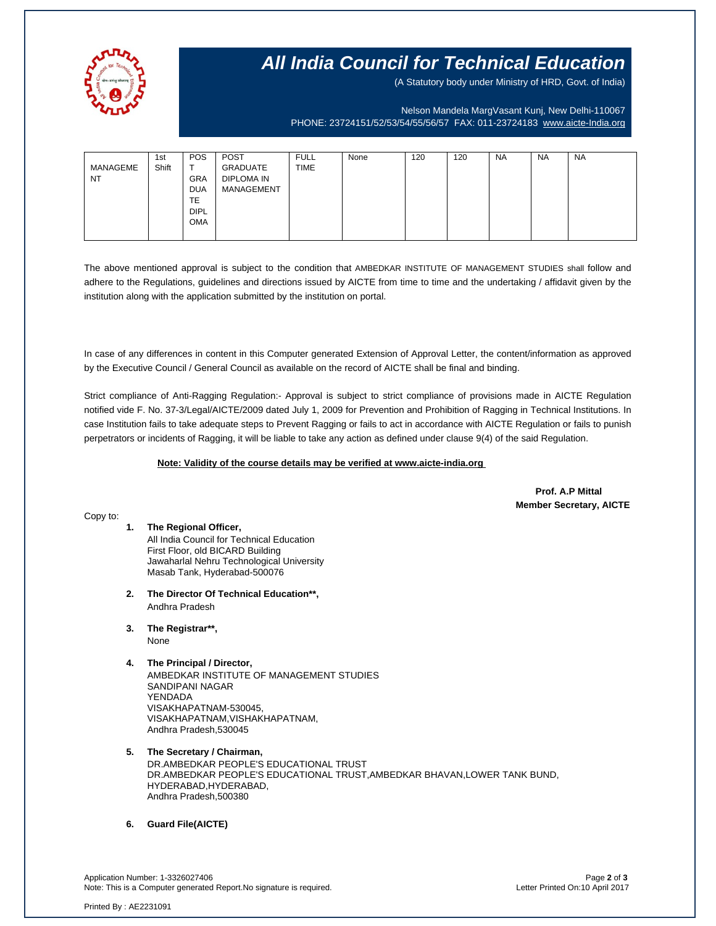

## **All India Council for Technical Education**

(A Statutory body under Ministry of HRD, Govt. of India)

Nelson Mandela MargVasant Kunj, New Delhi-110067 PHONE: 23724151/52/53/54/55/56/57 FAX: 011-23724183 [www.aicte-India.org](http://www.aicte-india.org/)

| MANAGEME<br><b>NT</b> | 1st<br>Shift | <b>POS</b><br>$\mathbf$<br><b>GRA</b><br><b>DUA</b><br><b>TE</b> | <b>POST</b><br>GRADUATE<br>DIPLOMA IN<br>MANAGEMENT | <b>FULL</b><br><b>TIME</b> | None | 120 | 120 | <b>NA</b> | <b>NA</b> | <b>NA</b> |
|-----------------------|--------------|------------------------------------------------------------------|-----------------------------------------------------|----------------------------|------|-----|-----|-----------|-----------|-----------|
|                       |              | <b>DIPL</b><br><b>OMA</b>                                        |                                                     |                            |      |     |     |           |           |           |

The above mentioned approval is subject to the condition that AMBEDKAR INSTITUTE OF MANAGEMENT STUDIES shall follow and adhere to the Regulations, guidelines and directions issued by AICTE from time to time and the undertaking / affidavit given by the institution along with the application submitted by the institution on portal.

In case of any differences in content in this Computer generated Extension of Approval Letter, the content/information as approved by the Executive Council / General Council as available on the record of AICTE shall be final and binding.

Strict compliance of Anti-Ragging Regulation:- Approval is subject to strict compliance of provisions made in AICTE Regulation notified vide F. No. 37-3/Legal/AICTE/2009 dated July 1, 2009 for Prevention and Prohibition of Ragging in Technical Institutions. In case Institution fails to take adequate steps to Prevent Ragging or fails to act in accordance with AICTE Regulation or fails to punish perpetrators or incidents of Ragging, it will be liable to take any action as defined under clause 9(4) of the said Regulation.

#### **Note: Validity of the course details may be verified at www.aicte-india.org**

 **Prof. A.P Mittal Member Secretary, AICTE**

Copy to:

- **1. The Regional Officer,** All India Council for Technical Education First Floor, old BICARD Building Jawaharlal Nehru Technological University Masab Tank, Hyderabad-500076
- **2. The Director Of Technical Education\*\*,** Andhra Pradesh
- **3. The Registrar\*\*,** None
- **4. The Principal / Director,**

AMBEDKAR INSTITUTE OF MANAGEMENT STUDIES SANDIPANI NAGAR YENDADA VISAKHAPATNAM-530045, VISAKHAPATNAM,VISHAKHAPATNAM, Andhra Pradesh,530045

**5. The Secretary / Chairman,** DR.AMBEDKAR PEOPLE'S EDUCATIONAL TRUST DR.AMBEDKAR PEOPLE'S EDUCATIONAL TRUST,AMBEDKAR BHAVAN,LOWER TANK BUND, HYDERABAD,HYDERABAD, Andhra Pradesh,500380

**6. Guard File(AICTE)**

Application Number: 1-3326027406 Page **2** of **3** Note: This is a Computer generated Report.No signature is required.